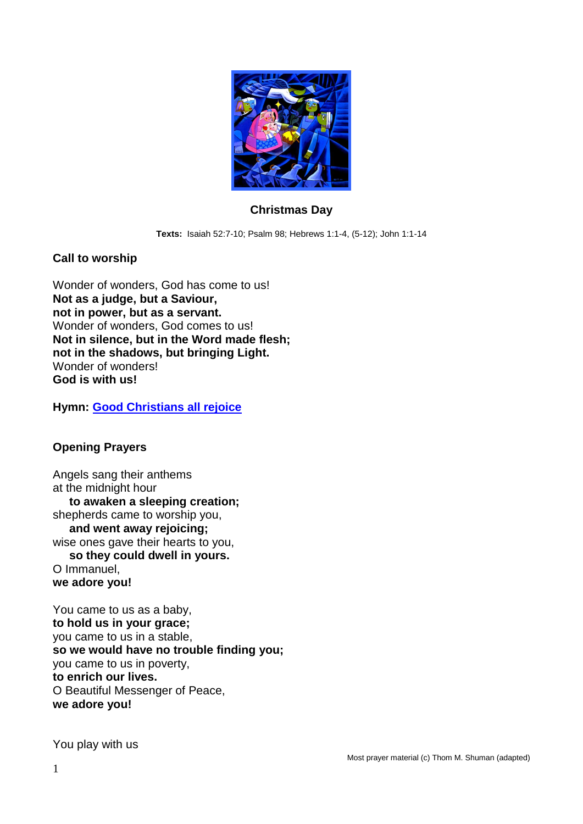

## **Christmas Day**

**Texts:** Isaiah 52:7-10; Psalm 98; Hebrews 1:1-4, (5-12); John 1:1-14

## **Call to worship**

Wonder of wonders, God has come to us! **Not as a judge, but a Saviour, not in power, but as a servant.** Wonder of wonders, God comes to us! **Not in silence, but in the Word made flesh; not in the shadows, but bringing Light.** Wonder of wonders! **God is with us!**

**Hymn: [Good Christians all rejoice](https://www.youtube.com/watch?app=desktop&v=g8pBFybbd54)**

## **Opening Prayers**

Angels sang their anthems at the midnight hour **to awaken a sleeping creation;** shepherds came to worship you, **and went away rejoicing;** wise ones gave their hearts to you, **so they could dwell in yours.** O Immanuel, **we adore you!**

You came to us as a baby, **to hold us in your grace;** you came to us in a stable, **so we would have no trouble finding you;** you came to us in poverty, **to enrich our lives.** O Beautiful Messenger of Peace, **we adore you!**

You play with us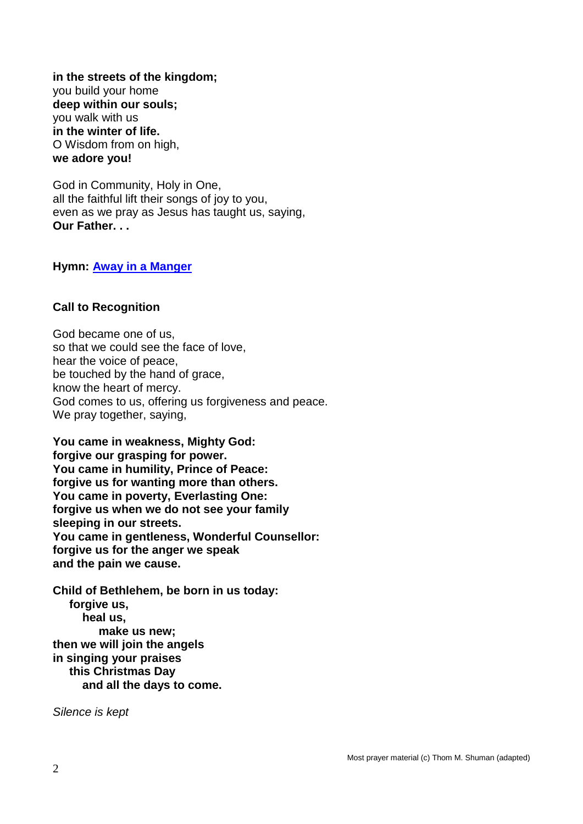**in the streets of the kingdom;** you build your home **deep within our souls;** you walk with us **in the winter of life.** O Wisdom from on high, **we adore you!**

God in Community, Holy in One, all the faithful lift their songs of joy to you, even as we pray as Jesus has taught us, saying, **Our Father. . .**

**Hymn: [Away in a Manger](https://www.youtube.com/watch?v=pVSoAM7YrxE)**

## **Call to Recognition**

God became one of us, so that we could see the face of love, hear the voice of peace, be touched by the hand of grace, know the heart of mercy. God comes to us, offering us forgiveness and peace. We pray together, saying,

**You came in weakness, Mighty God: forgive our grasping for power. You came in humility, Prince of Peace: forgive us for wanting more than others. You came in poverty, Everlasting One: forgive us when we do not see your family sleeping in our streets. You came in gentleness, Wonderful Counsellor: forgive us for the anger we speak and the pain we cause.**

**Child of Bethlehem, be born in us today: forgive us, heal us, make us new; then we will join the angels in singing your praises this Christmas Day and all the days to come.**

*Silence is kept*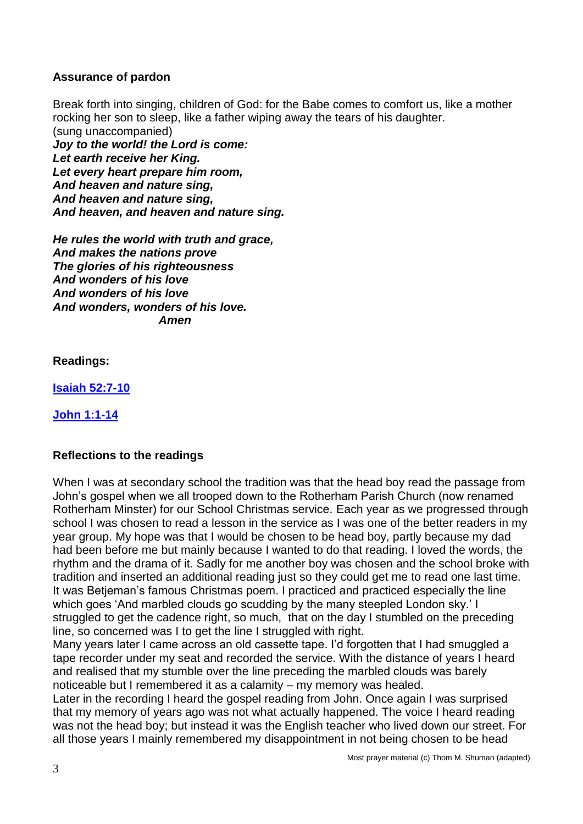## **Assurance of pardon**

Break forth into singing, children of God: for the Babe comes to comfort us, like a mother rocking her son to sleep, like a father wiping away the tears of his daughter. (sung unaccompanied) *Joy to the world! the Lord is come: Let earth receive her King. Let every heart prepare him room, And heaven and nature sing, And heaven and nature sing, And heaven, and heaven and nature sing.*

*He rules the world with truth and grace, And makes the nations prove The glories of his righteousness And wonders of his love And wonders of his love And wonders, wonders of his love. Amen*

**Readings:**

**[Isaiah 52:7-10](https://www.biblegateway.com/passage/?search=Isaiah+52%3A7-10&version=NIV)**

**[John 1:1-14](https://www.biblegateway.com/passage/?search=John+1%3A1-14&version=NIV)**

## **Reflections to the readings**

When I was at secondary school the tradition was that the head boy read the passage from John's gospel when we all trooped down to the Rotherham Parish Church (now renamed Rotherham Minster) for our School Christmas service. Each year as we progressed through school I was chosen to read a lesson in the service as I was one of the better readers in my year group. My hope was that I would be chosen to be head boy, partly because my dad had been before me but mainly because I wanted to do that reading. I loved the words, the rhythm and the drama of it. Sadly for me another boy was chosen and the school broke with tradition and inserted an additional reading just so they could get me to read one last time. It was Betjeman's famous Christmas poem. I practiced and practiced especially the line which goes 'And marbled clouds go scudding by the many steepled London sky.' I struggled to get the cadence right, so much, that on the day I stumbled on the preceding line, so concerned was I to get the line I struggled with right.

Many years later I came across an old cassette tape. I'd forgotten that I had smuggled a tape recorder under my seat and recorded the service. With the distance of years I heard and realised that my stumble over the line preceding the marbled clouds was barely noticeable but I remembered it as a calamity – my memory was healed.

Later in the recording I heard the gospel reading from John. Once again I was surprised that my memory of years ago was not what actually happened. The voice I heard reading was not the head boy; but instead it was the English teacher who lived down our street. For all those years I mainly remembered my disappointment in not being chosen to be head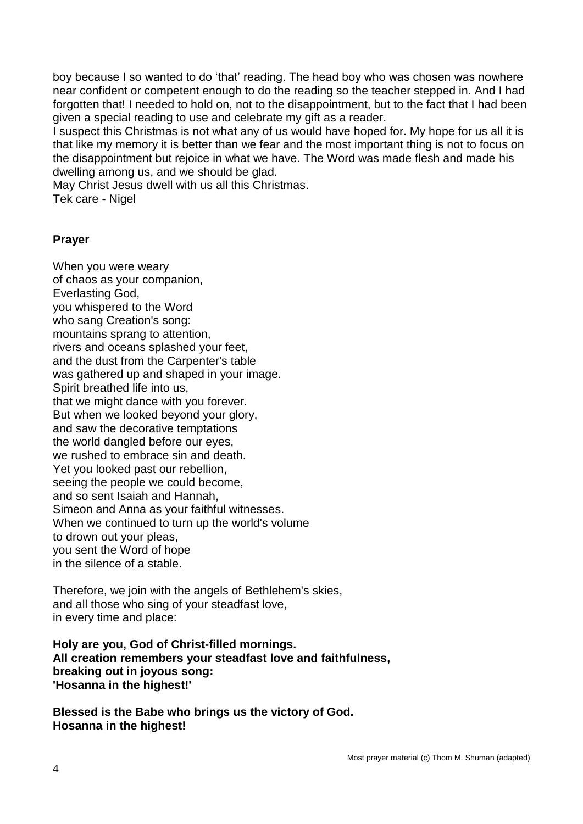boy because I so wanted to do 'that' reading. The head boy who was chosen was nowhere near confident or competent enough to do the reading so the teacher stepped in. And I had forgotten that! I needed to hold on, not to the disappointment, but to the fact that I had been given a special reading to use and celebrate my gift as a reader.

I suspect this Christmas is not what any of us would have hoped for. My hope for us all it is that like my memory it is better than we fear and the most important thing is not to focus on the disappointment but rejoice in what we have. The Word was made flesh and made his dwelling among us, and we should be glad.

May Christ Jesus dwell with us all this Christmas.

Tek care - Nigel

## **Prayer**

When you were weary of chaos as your companion, Everlasting God, you whispered to the Word who sang Creation's song: mountains sprang to attention, rivers and oceans splashed your feet, and the dust from the Carpenter's table was gathered up and shaped in your image. Spirit breathed life into us, that we might dance with you forever. But when we looked beyond your glory, and saw the decorative temptations the world dangled before our eyes, we rushed to embrace sin and death. Yet you looked past our rebellion, seeing the people we could become, and so sent Isaiah and Hannah, Simeon and Anna as your faithful witnesses. When we continued to turn up the world's volume to drown out your pleas, you sent the Word of hope in the silence of a stable.

Therefore, we join with the angels of Bethlehem's skies, and all those who sing of your steadfast love, in every time and place:

**Holy are you, God of Christ-filled mornings. All creation remembers your steadfast love and faithfulness, breaking out in joyous song: 'Hosanna in the highest!'**

**Blessed is the Babe who brings us the victory of God. Hosanna in the highest!**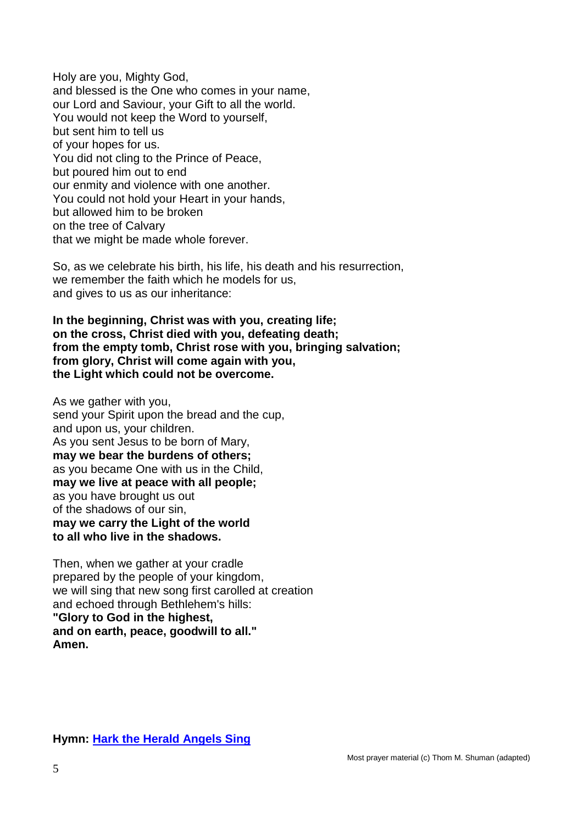Holy are you, Mighty God, and blessed is the One who comes in your name, our Lord and Saviour, your Gift to all the world. You would not keep the Word to yourself, but sent him to tell us of your hopes for us. You did not cling to the Prince of Peace, but poured him out to end our enmity and violence with one another. You could not hold your Heart in your hands, but allowed him to be broken on the tree of Calvary that we might be made whole forever.

So, as we celebrate his birth, his life, his death and his resurrection, we remember the faith which he models for us, and gives to us as our inheritance:

**In the beginning, Christ was with you, creating life; on the cross, Christ died with you, defeating death; from the empty tomb, Christ rose with you, bringing salvation; from glory, Christ will come again with you, the Light which could not be overcome.**

As we gather with you, send your Spirit upon the bread and the cup, and upon us, your children. As you sent Jesus to be born of Mary, **may we bear the burdens of others;** as you became One with us in the Child, **may we live at peace with all people;** as you have brought us out of the shadows of our sin, **may we carry the Light of the world to all who live in the shadows.**

Then, when we gather at your cradle prepared by the people of your kingdom, we will sing that new song first carolled at creation and echoed through Bethlehem's hills: **"Glory to God in the highest, and on earth, peace, goodwill to all." Amen.**

**Hymn: [Hark the Herald Angels Sing](https://www.youtube.com/watch?v=1IGP68i3JvU)**